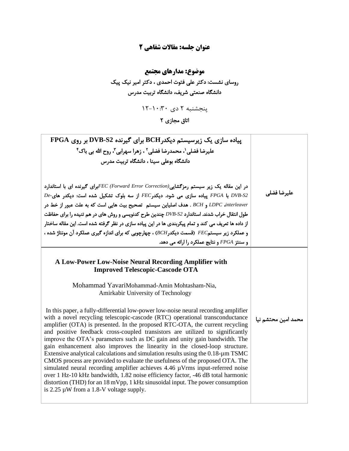## **عنوان جلسه: مقاالت شفاهی 2**

## **موضوع: مدارهای مجتمع**  روسای نشست: دکتر علی فتوت احمدی ، دکتر امیر نیک پیک دانشگاه صنعتی شریف، دانشگاه تربیت مدرس

پنجشنبه ۲ دی ۳۰: ۱-۱۲

اتاق مجاز*ی* ۲

| پیاده سازی یک زیرسیستم دیکدرBCH برای گیرنده DVB-S2 بر روی FPGA<br>عليرضا فضلي'، محمدرضا فضلي'' ، زهرا سهرابي''، روح الله بي باک''<br>دانشگاه بوعلی سینا ، دانشگاه تربیت مدرس<br>در این مقاله یک زیر سیستم رمزگشایی(FEC (Forward Error Correction)جوای گیرنده ای با استاندارد<br>$De$ -DVB-S2 با FPGA پیاده سازی می شود. دیکدر FEC از سه بلوک تشکیل شده است: دیکدر های $De$ -<br>LDPC dnterleaver و BCH . هدف اصلياين سيستم تصحيح بيت هايي است كه به علت عبور از خط در<br>طول انتقال خراب شدند. استاندارد DVB-S2 چندین طرح کدنویسی و روش های در هم تنیده را برای حفاظت<br>از داده ها تعریف می کند و تمام پیکربندی ها در این پیاده سازی در نظر گرفته شده است. این مقاله ساختار<br>و عملکرد زیر سیستم $FEC$ (قسمت دیکدر BCH) ، چهارچوبی که برای اندازه گیری عملکرد آن مونتاژ شده ،<br>و سنتز FPGA و نتایج عملکرد را ارائه می دهد.                                                                                                                                                                                                                                                                                                                                             | عليرضا فضلي         |
|----------------------------------------------------------------------------------------------------------------------------------------------------------------------------------------------------------------------------------------------------------------------------------------------------------------------------------------------------------------------------------------------------------------------------------------------------------------------------------------------------------------------------------------------------------------------------------------------------------------------------------------------------------------------------------------------------------------------------------------------------------------------------------------------------------------------------------------------------------------------------------------------------------------------------------------------------------------------------------------------------------------------------------------------------------------------------------------------------------------------------------------------------------------------------|---------------------|
| A Low-Power Low-Noise Neural Recording Amplifier with<br><b>Improved Telescopic-Cascode OTA</b><br>Mohammad YavariMohammad-Amin Mohtasham-Nia,<br>Amirkabir University of Technology<br>In this paper, a fully-differential low-power low-noise neural recording amplifier<br>with a novel recycling telescopic-cascode (RTC) operational transconductance<br>amplifier (OTA) is presented. In the proposed RTC-OTA, the current recycling<br>and positive feedback cross-coupled transistors are utilized to significantly<br>improve the OTA's parameters such as DC gain and unity gain bandwidth. The<br>gain enhancement also improves the linearity in the closed-loop structure.<br>Extensive analytical calculations and simulation results using the $0.18$ - $\mu$ m TSMC<br>CMOS process are provided to evaluate the usefulness of the proposed OTA. The<br>simulated neural recording amplifier achieves 4.46 µVrms input-referred noise<br>over 1 Hz-10 kHz bandwidth, 1.82 noise efficiency factor, -46 dB total harmonic<br>distortion (THD) for an 18 mVpp, 1 kHz sinusoidal input. The power consumption<br>is $2.25 \mu W$ from a 1.8-V voltage supply. | محمد امین محتشم نیا |